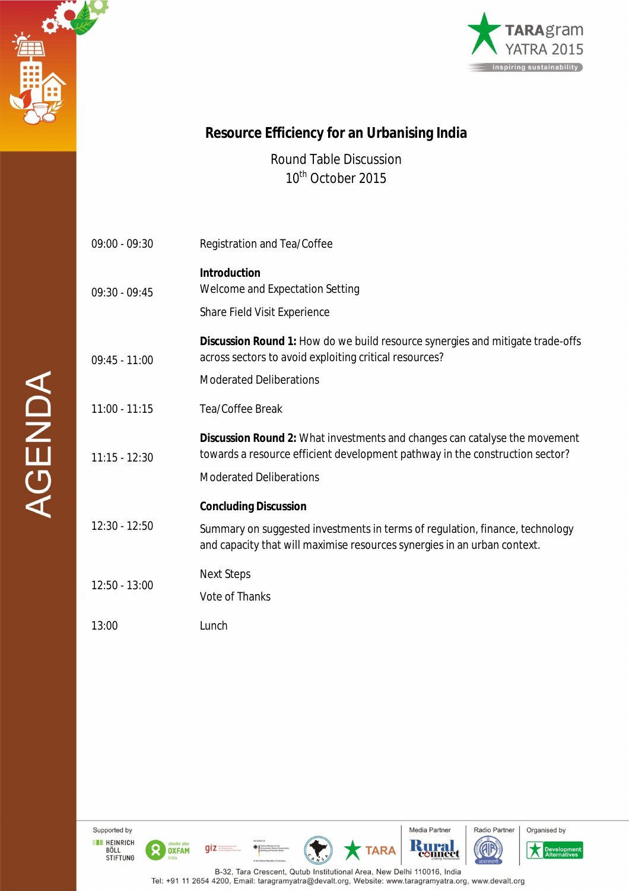



## **Resource Efficiency for an Urbanising India**

Round Table Discussion 10<sup>th</sup> October 2015

| $09:00 - 09:30$ | Registration and Tea/Coffee                                                                                                                                                                         |
|-----------------|-----------------------------------------------------------------------------------------------------------------------------------------------------------------------------------------------------|
| $09:30 - 09:45$ | <b>Introduction</b><br>Welcome and Expectation Setting<br>Share Field Visit Experience                                                                                                              |
| $09:45 - 11:00$ | Discussion Round 1: How do we build resource synergies and mitigate trade-offs<br>across sectors to avoid exploiting critical resources?<br><b>Moderated Deliberations</b>                          |
| $11:00 - 11:15$ | Tea/Coffee Break                                                                                                                                                                                    |
| $11:15 - 12:30$ | <b>Discussion Round 2:</b> What investments and changes can catalyse the movement<br>towards a resource efficient development pathway in the construction sector?<br><b>Moderated Deliberations</b> |
| 12:30 - 12:50   | <b>Concluding Discussion</b><br>Summary on suggested investments in terms of regulation, finance, technology<br>and capacity that will maximise resources synergies in an urban context.            |
| $12:50 - 13:00$ | <b>Next Steps</b><br><b>Vote of Thanks</b>                                                                                                                                                          |
| 13:00           | Lunch                                                                                                                                                                                               |

Supported by **EXECUTE HEINRICH<br>BÖLL<br>STIFTUNG** 

 $\mathbf{R}$ 

OXFAM





**TARA** 







**AGENDA**